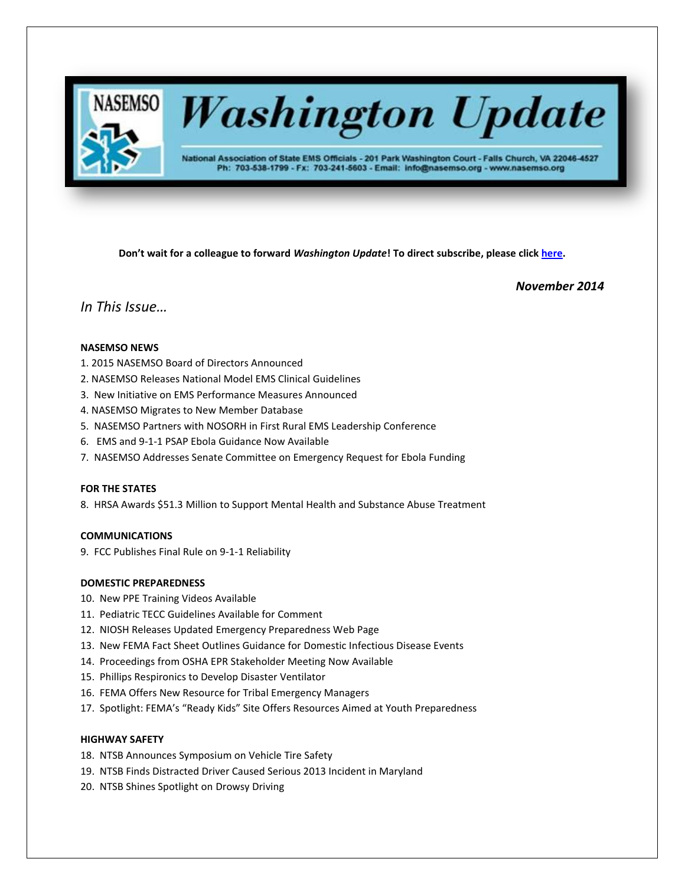

# **Washington Update**

National Association of State EMS Officials - 201 Park Washington Court - Falls Church, VA 22046-4527 Ph: 703-538-1799 - Fx: 703-241-5603 - Email: info@nasemso.org - www.nasemso.org

**Don't wait for a colleague to forward** *Washington Update***! To direct subscribe, please click [here.](http://lists.nasemso.org/read/all_forums/subscribe?name=wu%20)**

*November 2014*

# *In This Issue…*

# **NASEMSO NEWS**

- 1. 2015 NASEMSO Board of Directors Announced
- 2. NASEMSO Releases National Model EMS Clinical Guidelines
- 3. New Initiative on EMS Performance Measures Announced
- 4. NASEMSO Migrates to New Member Database
- 5. NASEMSO Partners with NOSORH in First Rural EMS Leadership Conference
- 6. EMS and 9-1-1 PSAP Ebola Guidance Now Available
- 7. NASEMSO Addresses Senate Committee on Emergency Request for Ebola Funding

# **FOR THE STATES**

8. HRSA Awards \$51.3 Million to Support Mental Health and Substance Abuse Treatment

# **COMMUNICATIONS**

9. FCC Publishes Final Rule on 9-1-1 Reliability

# **DOMESTIC PREPAREDNESS**

- 10. New PPE Training Videos Available
- 11. Pediatric TECC Guidelines Available for Comment
- 12. NIOSH Releases Updated Emergency Preparedness Web Page
- 13. New FEMA Fact Sheet Outlines Guidance for Domestic Infectious Disease Events
- 14. Proceedings from OSHA EPR Stakeholder Meeting Now Available
- 15. Phillips Respironics to Develop Disaster Ventilator
- 16. FEMA Offers New Resource for Tribal Emergency Managers
- 17. Spotlight: FEMA's "Ready Kids" Site Offers Resources Aimed at Youth Preparedness

# **HIGHWAY SAFETY**

- 18. NTSB Announces Symposium on Vehicle Tire Safety
- 19. NTSB Finds Distracted Driver Caused Serious 2013 Incident in Maryland
- 20. NTSB Shines Spotlight on Drowsy Driving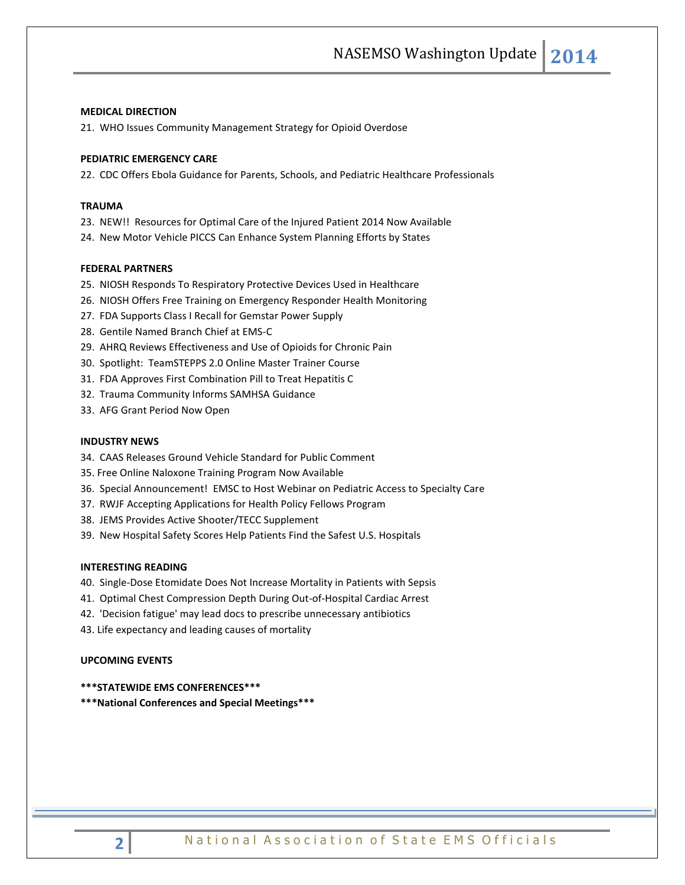#### **MEDICAL DIRECTION**

21. WHO Issues Community Management Strategy for Opioid Overdose

#### **PEDIATRIC EMERGENCY CARE**

22. CDC Offers Ebola Guidance for Parents, Schools, and Pediatric Healthcare Professionals

#### **TRAUMA**

- 23. NEW!! Resources for Optimal Care of the Injured Patient 2014 Now Available
- 24. New Motor Vehicle PICCS Can Enhance System Planning Efforts by States

#### **FEDERAL PARTNERS**

- 25. NIOSH Responds To Respiratory Protective Devices Used in Healthcare
- 26. NIOSH Offers Free Training on Emergency Responder Health Monitoring
- 27. FDA Supports Class I Recall for Gemstar Power Supply
- 28. Gentile Named Branch Chief at EMS-C
- 29. AHRQ Reviews Effectiveness and Use of Opioids for Chronic Pain
- 30. Spotlight: TeamSTEPPS 2.0 Online Master Trainer Course
- 31. FDA Approves First Combination Pill to Treat Hepatitis C
- 32. Trauma Community Informs SAMHSA Guidance
- 33. AFG Grant Period Now Open

# **INDUSTRY NEWS**

- 34. CAAS Releases Ground Vehicle Standard for Public Comment
- 35. Free Online Naloxone Training Program Now Available
- 36. Special Announcement! EMSC to Host Webinar on Pediatric Access to Specialty Care
- 37. RWJF Accepting Applications for Health Policy Fellows Program
- 38. JEMS Provides Active Shooter/TECC Supplement
- 39. New Hospital Safety Scores Help Patients Find the Safest U.S. Hospitals

# **INTERESTING READING**

- 40. Single-Dose Etomidate Does Not Increase Mortality in Patients with Sepsis
- 41. Optimal Chest Compression Depth During Out-of-Hospital Cardiac Arrest
- 42. 'Decision fatigue' may lead docs to prescribe unnecessary antibiotics
- 43. Life expectancy and leading causes of mortality

#### **UPCOMING EVENTS**

**\*\*\*STATEWIDE EMS CONFERENCES\*\*\***

**\*\*\*National Conferences and Special Meetings\*\*\***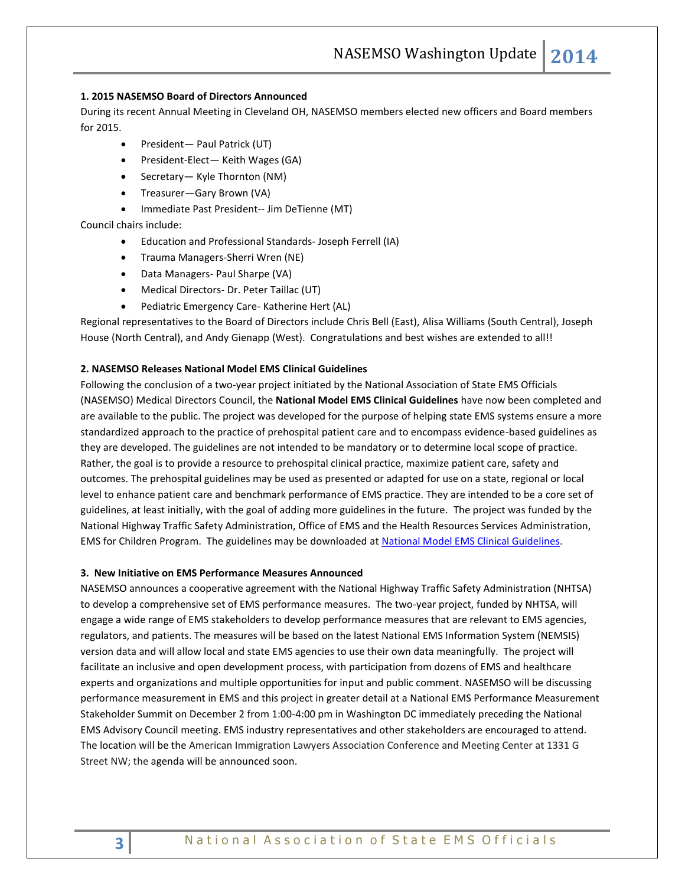# **1. 2015 NASEMSO Board of Directors Announced**

During its recent Annual Meeting in Cleveland OH, NASEMSO members elected new officers and Board members for 2015.

- President— Paul Patrick (UT)
- President-Elect— Keith Wages (GA)
- Secretary— Kyle Thornton (NM)
- Treasurer—Gary Brown (VA)
- Immediate Past President-- Jim DeTienne (MT)

Council chairs include:

- Education and Professional Standards- Joseph Ferrell (IA)
- Trauma Managers-Sherri Wren (NE)
- Data Managers- Paul Sharpe (VA)
- Medical Directors- Dr. Peter Taillac (UT)
- Pediatric Emergency Care- Katherine Hert (AL)

Regional representatives to the Board of Directors include Chris Bell (East), Alisa Williams (South Central), Joseph House (North Central), and Andy Gienapp (West). Congratulations and best wishes are extended to all!!

# **2. NASEMSO Releases National Model EMS Clinical Guidelines**

Following the conclusion of a two-year project initiated by the National Association of State EMS Officials (NASEMSO) Medical Directors Council, the **National Model EMS Clinical Guidelines** have now been completed and are available to the public. The project was developed for the purpose of helping state EMS systems ensure a more standardized approach to the practice of prehospital patient care and to encompass evidence-based guidelines as they are developed. The guidelines are not intended to be mandatory or to determine local scope of practice. Rather, the goal is to provide a resource to prehospital clinical practice, maximize patient care, safety and outcomes. The prehospital guidelines may be used as presented or adapted for use on a state, regional or local level to enhance patient care and benchmark performance of EMS practice. They are intended to be a core set of guidelines, at least initially, with the goal of adding more guidelines in the future. The project was funded by the National Highway Traffic Safety Administration, Office of EMS and the Health Resources Services Administration, EMS for Children Program. The guidelines may be downloaded at [National Model EMS Clinical Guidelines.](https://www.nasemso.org/Projects/ModelEMSClinicalGuidelines/index.asp)

#### **3. New Initiative on EMS Performance Measures Announced**

NASEMSO announces a cooperative agreement with the National Highway Traffic Safety Administration (NHTSA) to develop a comprehensive set of EMS performance measures. The two-year project, funded by NHTSA, will engage a wide range of EMS stakeholders to develop performance measures that are relevant to EMS agencies, regulators, and patients. The measures will be based on the latest National EMS Information System (NEMSIS) version data and will allow local and state EMS agencies to use their own data meaningfully. The project will facilitate an inclusive and open development process, with participation from dozens of EMS and healthcare experts and organizations and multiple opportunities for input and public comment. NASEMSO will be discussing performance measurement in EMS and this project in greater detail at a National EMS Performance Measurement Stakeholder Summit on December 2 from 1:00-4:00 pm in Washington DC immediately preceding the National EMS Advisory Council meeting. EMS industry representatives and other stakeholders are encouraged to attend. The location will be the American Immigration Lawyers Association Conference and Meeting Center at 1331 G Street NW; the agenda will be announced soon.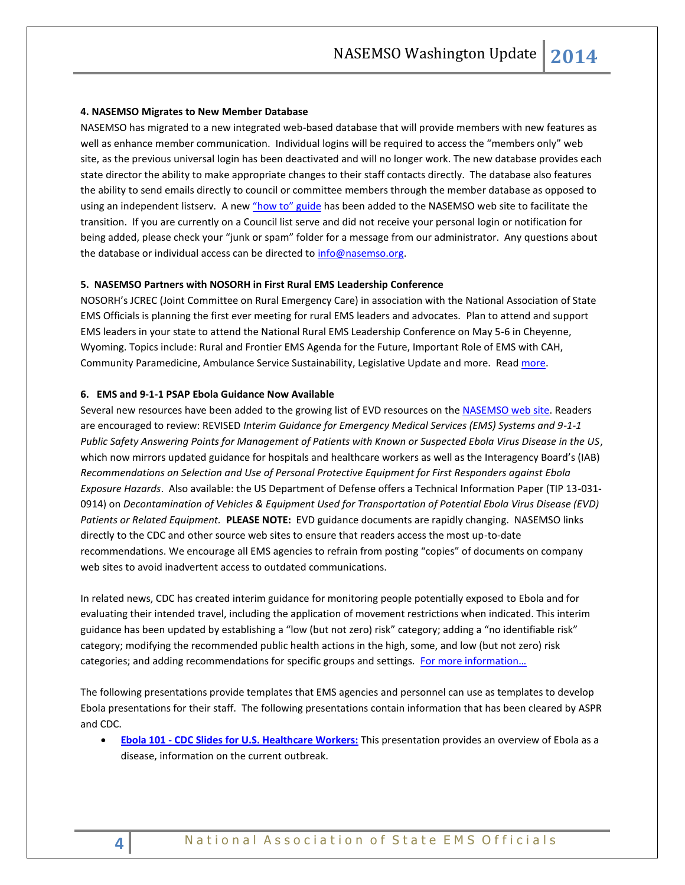#### **4. NASEMSO Migrates to New Member Database**

NASEMSO has migrated to a new integrated web-based database that will provide members with new features as well as enhance member communication. Individual logins will be required to access the "members only" web site, as the previous universal login has been deactivated and will no longer work. The new database provides each state director the ability to make appropriate changes to their staff contacts directly. The database also features the ability to send emails directly to council or committee members through the member database as opposed to using an independent listserv. A new ["how to" guide](http://www.nasemso.org/WebsiteHowToGuides/index.asp) has been added to the NASEMSO web site to facilitate the transition. If you are currently on a Council list serve and did not receive your personal login or notification for being added, please check your "junk or spam" folder for a message from our administrator. Any questions about the database or individual access can be directed to [info@nasemso.org.](mailto:info@nasemso.org)

## **5. NASEMSO Partners with NOSORH in First Rural EMS Leadership Conference**

NOSORH's JCREC (Joint Committee on Rural Emergency Care) in association with the National Association of State EMS Officials is planning the first ever meeting for rural EMS leaders and advocates. Plan to attend and support EMS leaders in your state to attend the National Rural EMS Leadership Conference on May 5-6 in Cheyenne, Wyoming. Topics include: Rural and Frontier EMS Agenda for the Future, Important Role of EMS with CAH, Community Paramedicine, Ambulance Service Sustainability, Legislative Update and [more.](http://nosorh.org/national-rural-ems-leadership-conference/) Read more.

## **6. EMS and 9-1-1 PSAP Ebola Guidance Now Available**

Several new resources have been added to the growing list of EVD resources on th[e NASEMSO web site.](http://www.nasemso.org/Projects/DomesticPreparedness/National-InternationalResources.asp) Readers are encouraged to review: REVISED *Interim Guidance for Emergency Medical Services (EMS) Systems and 9-1-1 Public Safety Answering Points for Management of Patients with Known or Suspected Ebola Virus Disease in the US*, which now mirrors updated guidance for hospitals and healthcare workers as well as the Interagency Board's (IAB) *Recommendations on Selection and Use of Personal Protective Equipment for First Responders against Ebola Exposure Hazards*. Also available: the US Department of Defense offers a Technical Information Paper (TIP 13-031- 0914) on *Decontamination of Vehicles & Equipment Used for Transportation of Potential Ebola Virus Disease (EVD) Patients or Related Equipment.* **PLEASE NOTE:** EVD guidance documents are rapidly changing. NASEMSO links directly to the CDC and other source web sites to ensure that readers access the most up-to-date recommendations. We encourage all EMS agencies to refrain from posting "copies" of documents on company web sites to avoid inadvertent access to outdated communications.

In related news, CDC has created interim guidance for monitoring people potentially exposed to Ebola and for evaluating their intended travel, including the application of movement restrictions when indicated. This interim guidance has been updated by establishing a "low (but not zero) risk" category; adding a "no identifiable risk" category; modifying the recommended public health actions in the high, some, and low (but not zero) risk categories; and adding recommendations for specific groups and settings. For more information...

The following presentations provide templates that EMS agencies and personnel can use as templates to develop Ebola presentations for their staff. The following presentations contain information that has been cleared by ASPR and CDC.

 **Ebola 101 - [CDC Slides for U.S. Healthcare Workers:](http://www.cdc.gov/vhf/ebola/ppt/ebola-101-cdc-slides-for-us-healthcare-workers.pptx)** This presentation provides an overview of Ebola as a disease, information on the current outbreak.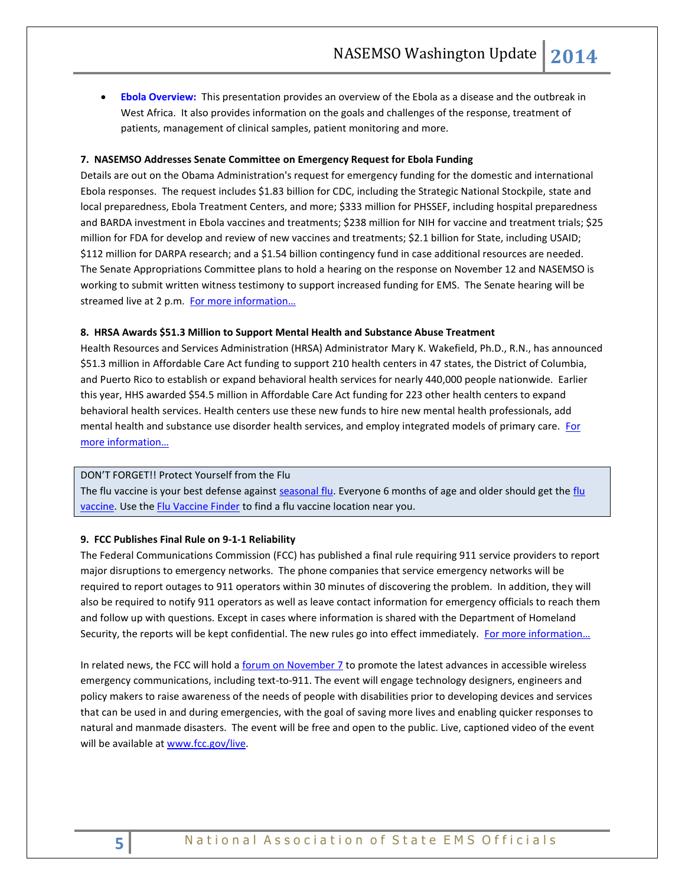**[Ebola Overview:](http://www.phe.gov/Preparedness/responders/ebola/Documents/ebola-overview-template.pdf)** This presentation provides an overview of the Ebola as a disease and the outbreak in West Africa. It also provides information on the goals and challenges of the response, treatment of patients, management of clinical samples, patient monitoring and more.

# **7. NASEMSO Addresses Senate Committee on Emergency Request for Ebola Funding**

Details are out on the Obama Administration's request for emergency funding for the domestic and international Ebola responses. The request includes \$1.83 billion for CDC, including the Strategic National Stockpile, state and local preparedness, Ebola Treatment Centers, and more; \$333 million for PHSSEF, including hospital preparedness and BARDA investment in Ebola vaccines and treatments; \$238 million for NIH for vaccine and treatment trials; \$25 million for FDA for develop and review of new vaccines and treatments; \$2.1 billion for State, including USAID; \$112 million for DARPA research; and a \$1.54 billion contingency fund in case additional resources are needed. The Senate Appropriations Committee plans to hold a hearing on the response on November 12 and NASEMSO is working to submit written witness testimony to support increased funding for EMS. The Senate hearing will be streamed live at 2 p.m. [For more information…](http://www.appropriations.senate.gov/news/chairwoman-mikulski-announces-full-committee-hearing-us-government-response-ebola-outbreak)

## **8. HRSA Awards \$51.3 Million to Support Mental Health and Substance Abuse Treatment**

Health Resources and Services Administration (HRSA) Administrator Mary K. Wakefield, Ph.D., R.N., has announced \$51.3 million in Affordable Care Act funding to support 210 health centers in 47 states, the District of Columbia, and Puerto Rico to establish or expand behavioral health services for nearly 440,000 people nationwide. Earlier this year, HHS awarded \$54.5 million in Affordable Care Act funding for 223 other health centers to expand behavioral health services. Health centers use these new funds to hire new mental health professionals, add mental health and substance use disorder health services, and employ integrated models of primary care. For [more information…](http://www.hrsa.gov/about/news/pressreleases/141106behavioralhealth.html)

#### DON'T FORGET!! Protect Yourself from the Flu

The flu vaccine is your best defense against [seasonal flu.](http://www.flu.gov/about_the_flu/seasonal/index.html) Everyone 6 months of age and older should get the flu [vaccine.](http://www.flu.gov/prevention-vaccination/vaccination/index.html) Use th[e Flu Vaccine Finder](http://flushot.healthmap.org/?address=) to find a flu vaccine location near you.

#### **9. FCC Publishes Final Rule on 9-1-1 Reliability**

The Federal Communications Commission (FCC) has published a final rule requiring 911 service providers to report major disruptions to emergency networks. The phone companies that service emergency networks will be required to report outages to 911 operators within 30 minutes of discovering the problem. In addition, they will also be required to notify 911 operators as well as leave contact information for emergency officials to reach them and follow up with questions. Except in cases where information is shared with the Department of Homeland Security, the reports will be kept confidential. The new rules go into effect immediately. [For more information…](https://s3.amazonaws.com/public-inspection.federalregister.gov/2014-26117.pdf)

In related news, the FCC will hold a *forum on November 7* to promote the latest advances in accessible wireless emergency communications, including text-to-911. The event will engage technology designers, engineers and policy makers to raise awareness of the needs of people with disabilities prior to developing devices and services that can be used in and during emergencies, with the goal of saving more lives and enabling quicker responses to natural and manmade disasters. The event will be free and open to the public. Live, captioned video of the event will be available a[t www.fcc.gov/live.](http://www.fcc.gov/live)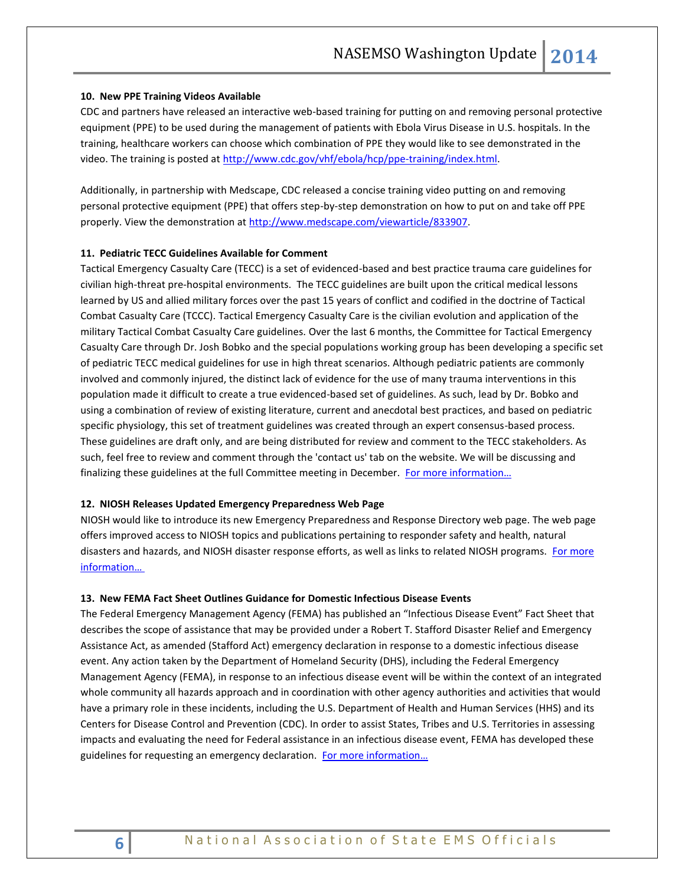#### **10. New PPE Training Videos Available**

CDC and partners have released an interactive web-based training for putting on and removing personal protective equipment (PPE) to be used during the management of patients with Ebola Virus Disease in U.S. hospitals. In the training, healthcare workers can choose which combination of PPE they would like to see demonstrated in the video. The training is posted at [http://www.cdc.gov/vhf/ebola/hcp/ppe-training/index.html.](http://www.cdc.gov/vhf/ebola/hcp/ppe-training/index.html)

Additionally, in partnership with Medscape, CDC released a concise training video putting on and removing personal protective equipment (PPE) that offers step-by-step demonstration on how to put on and take off PPE properly. View the demonstration a[t http://www.medscape.com/viewarticle/833907.](http://www.medscape.com/viewarticle/833907)

# **11. Pediatric TECC Guidelines Available for Comment**

Tactical Emergency Casualty Care (TECC) is a set of evidenced-based and best practice trauma care guidelines for civilian high-threat pre-hospital environments. The TECC guidelines are built upon the critical medical lessons learned by US and allied military forces over the past 15 years of conflict and codified in the doctrine of Tactical Combat Casualty Care (TCCC). Tactical Emergency Casualty Care is the civilian evolution and application of the military Tactical Combat Casualty Care guidelines. Over the last 6 months, the Committee for Tactical Emergency Casualty Care through Dr. Josh Bobko and the special populations working group has been developing a specific set of pediatric TECC medical guidelines for use in high threat scenarios. Although pediatric patients are commonly involved and commonly injured, the distinct lack of evidence for the use of many trauma interventions in this population made it difficult to create a true evidenced-based set of guidelines. As such, lead by Dr. Bobko and using a combination of review of existing literature, current and anecdotal best practices, and based on pediatric specific physiology, this set of treatment guidelines was created through an expert consensus-based process. These guidelines are draft only, and are being distributed for review and comment to the TECC stakeholders. As such, feel free to review and comment through the 'contact us' tab on the website. We will be discussing and finalizing these guidelines at the full Committee meeting in December. For more information...

# **12. NIOSH Releases Updated Emergency Preparedness Web Page**

NIOSH would like to introduce its new Emergency Preparedness and Response Directory web page. The web page offers improved access to NIOSH topics and publications pertaining to responder safety and health, natural disasters and hazards, and NIOSH disaster response efforts, as well as links to related NIOSH programs. For more [information…](http://www.cdc.gov/niosh/emres/?s_cid=3ni7d2eml09102014)

#### **13. New FEMA Fact Sheet Outlines Guidance for Domestic Infectious Disease Events**

The Federal Emergency Management Agency (FEMA) has published an "Infectious Disease Event" Fact Sheet that describes the scope of assistance that may be provided under a Robert T. Stafford Disaster Relief and Emergency Assistance Act, as amended (Stafford Act) emergency declaration in response to a domestic infectious disease event. Any action taken by the Department of Homeland Security (DHS), including the Federal Emergency Management Agency (FEMA), in response to an infectious disease event will be within the context of an integrated whole community all hazards approach and in coordination with other agency authorities and activities that would have a primary role in these incidents, including the U.S. Department of Health and Human Services (HHS) and its Centers for Disease Control and Prevention (CDC). In order to assist States, Tribes and U.S. Territories in assessing impacts and evaluating the need for Federal assistance in an infectious disease event, FEMA has developed these guidelines for requesting an emergency declaration. For more information...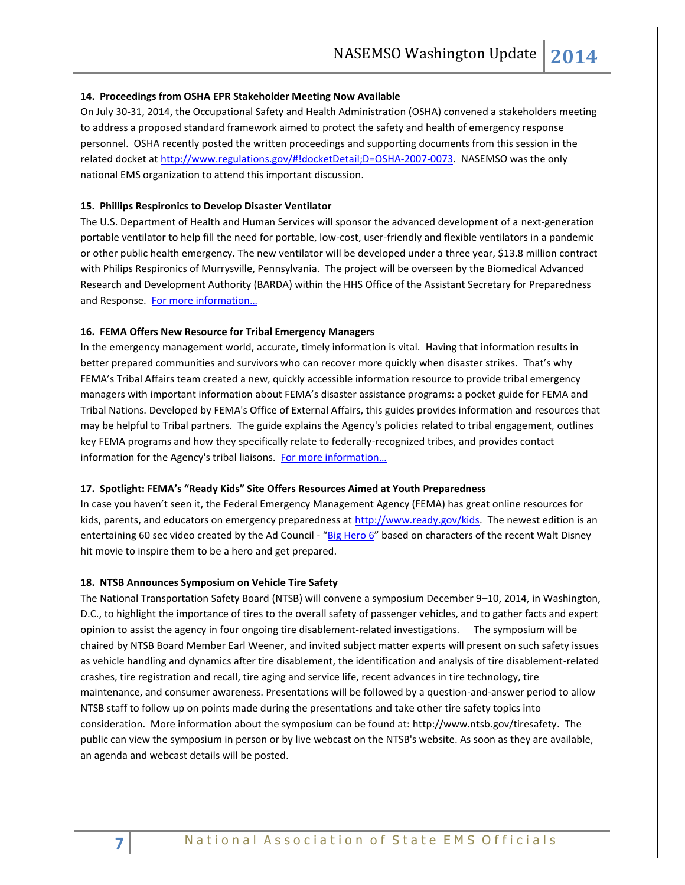#### **14. Proceedings from OSHA EPR Stakeholder Meeting Now Available**

On July 30-31, 2014, the Occupational Safety and Health Administration (OSHA) convened a stakeholders meeting to address a proposed standard framework aimed to protect the safety and health of emergency response personnel. OSHA recently posted the written proceedings and supporting documents from this session in the related docket a[t http://www.regulations.gov/#!docketDetail;D=OSHA-2007-0073.](http://www.regulations.gov/#!docketDetail;D=OSHA-2007-0073) NASEMSO was the only national EMS organization to attend this important discussion.

#### **15. Phillips Respironics to Develop Disaster Ventilator**

The U.S. Department of Health and Human Services will sponsor the advanced development of a next-generation portable ventilator to help fill the need for portable, low-cost, user-friendly and flexible ventilators in a pandemic or other public health emergency. The new ventilator will be developed under a three year, \$13.8 million contract with Philips Respironics of Murrysville, Pennsylvania. The project will be overseen by the Biomedical Advanced Research and Development Authority (BARDA) within the HHS Office of the Assistant Secretary for Preparedness and Response. For more information...

# **16. FEMA Offers New Resource for Tribal Emergency Managers**

In the emergency management world, accurate, timely information is vital. Having that information results in better prepared communities and survivors who can recover more quickly when disaster strikes. That's why FEMA's Tribal Affairs team created a new, quickly accessible information resource to provide tribal emergency managers with important information about FEMA's disaster assistance programs: a pocket guide for FEMA and Tribal Nations. Developed by FEMA's Office of External Affairs, this guides provides information and resources that may be helpful to Tribal partners. The guide explains the Agency's policies related to tribal engagement, outlines key FEMA programs and how they specifically relate to federally-recognized tribes, and provides contact information for the Agency's tribal liaisons. For more information...

# **17. Spotlight: FEMA's "Ready Kids" Site Offers Resources Aimed at Youth Preparedness**

In case you haven't seen it, the Federal Emergency Management Agency (FEMA) has great online resources for kids, parents, and educators on emergency preparedness at [http://www.ready.gov/kids.](http://www.ready.gov/kids) The newest edition is an entertaining 60 sec video created by the Ad Council - "[Big Hero 6](http://www.youtube.com/watch?v=nK1XcIp6hrk)" based on characters of the recent Walt Disney hit movie to inspire them to be a hero and get prepared.

#### **18. NTSB Announces Symposium on Vehicle Tire Safety**

The National Transportation Safety Board (NTSB) will convene a symposium December 9–10, 2014, in Washington, D.C., to highlight the importance of tires to the overall safety of passenger vehicles, and to gather facts and expert opinion to assist the agency in four ongoing tire disablement-related investigations. The symposium will be chaired by NTSB Board Member Earl Weener, and invited subject matter experts will present on such safety issues as vehicle handling and dynamics after tire disablement, the identification and analysis of tire disablement-related crashes, tire registration and recall, tire aging and service life, recent advances in tire technology, tire maintenance, and consumer awareness. Presentations will be followed by a question-and-answer period to allow NTSB staff to follow up on points made during the presentations and take other tire safety topics into consideration. More information about the symposium can be found at: [http://www.ntsb.gov/tiresafety.](http://www.ntsb.gov/tiresafety) The public can view the symposium in person or by live webcast on the NTSB's website. As soon as they are available, an agenda and webcast details will be posted.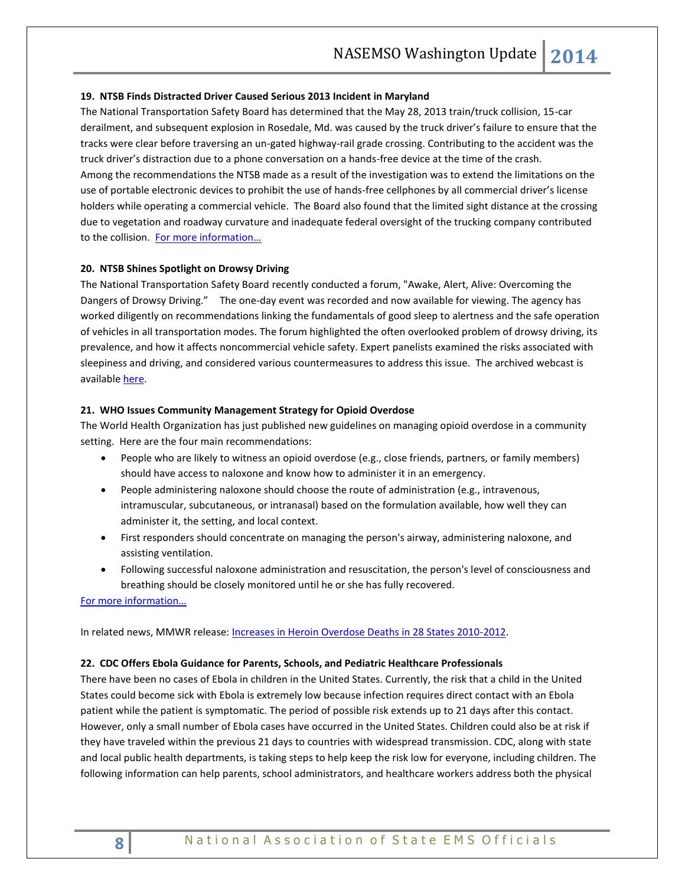#### **19. NTSB Finds Distracted Driver Caused Serious 2013 Incident in Maryland**

The National Transportation Safety Board has determined that the May 28, 2013 train/truck collision, 15-car derailment, and subsequent explosion in Rosedale, Md. was caused by the truck driver's failure to ensure that the tracks were clear before traversing an un-gated highway-rail grade crossing. Contributing to the accident was the truck driver's distraction due to a phone conversation on a hands-free device at the time of the crash. Among the recommendations the NTSB made as a result of the investigation was to extend the limitations on the use of portable electronic devices to prohibit the use of hands-free cellphones by all commercial driver's license holders while operating a commercial vehicle. The Board also found that the limited sight distance at the crossing due to vegetation and roadway curvature and inadequate federal oversight of the trucking company contributed to the collision. [For more information…](http://www.ntsb.gov/doclib/reports/2014/HAR1402.pdf)

#### **20. NTSB Shines Spotlight on Drowsy Driving**

The National Transportation Safety Board recently conducted a forum, "Awake, Alert, Alive: Overcoming the Dangers of Drowsy Driving." The one-day event was recorded and now available for viewing. The agency has worked diligently on recommendations linking the fundamentals of good sleep to alertness and the safe operation of vehicles in all transportation modes. The forum highlighted the often overlooked problem of drowsy driving, its prevalence, and how it affects noncommercial vehicle safety. Expert panelists examined the risks associated with sleepiness and driving, and considered various countermeasures to address this issue. The archived webcast is available [here.](http://stream.capitolconnection.org/capcon/ntsb/ntsb.htm)

#### **21. WHO Issues Community Management Strategy for Opioid Overdose**

The World Health Organization has just published new guidelines on managing opioid overdose in a community setting. Here are the four main recommendations:

- People who are likely to witness an opioid overdose (e.g., close friends, partners, or family members) should have access to naloxone and know how to administer it in an emergency.
- People administering naloxone should choose the route of administration (e.g., intravenous, intramuscular, subcutaneous, or intranasal) based on the formulation available, how well they can administer it, the setting, and local context.
- First responders should concentrate on managing the person's airway, administering naloxone, and assisting ventilation.
- Following successful naloxone administration and resuscitation, the person's level of consciousness and breathing should be closely monitored until he or she has fully recovered.

[For more information…](http://apps.who.int/iris/bitstream/10665/137462/1/9789241548816_eng.pdf?ua=1)

# In related news, MMWR release[: Increases in Heroin Overdose Deaths in 28 States 2010-2012.](http://www.cdc.gov/mmwr/preview/mmwrhtml/mm6339a1.htm?s_cid=mm6339a1_e)

#### **22. CDC Offers Ebola Guidance for Parents, Schools, and Pediatric Healthcare Professionals**

There have been no cases of Ebola in children in the United States. Currently, the risk that a child in the United States could become sick with Ebola is extremely low because infection requires direct contact with an Ebola patient while the patient is symptomatic. The period of possible risk extends up to 21 days after this contact. However, only a small number of Ebola cases have occurred in the United States. Children could also be at risk if they have traveled within the previous 21 days to countries with widespread transmission. CDC, along with state and local public health departments, is taking steps to help keep the risk low for everyone, including children. The following information can help parents, school administrators, and healthcare workers address both the physical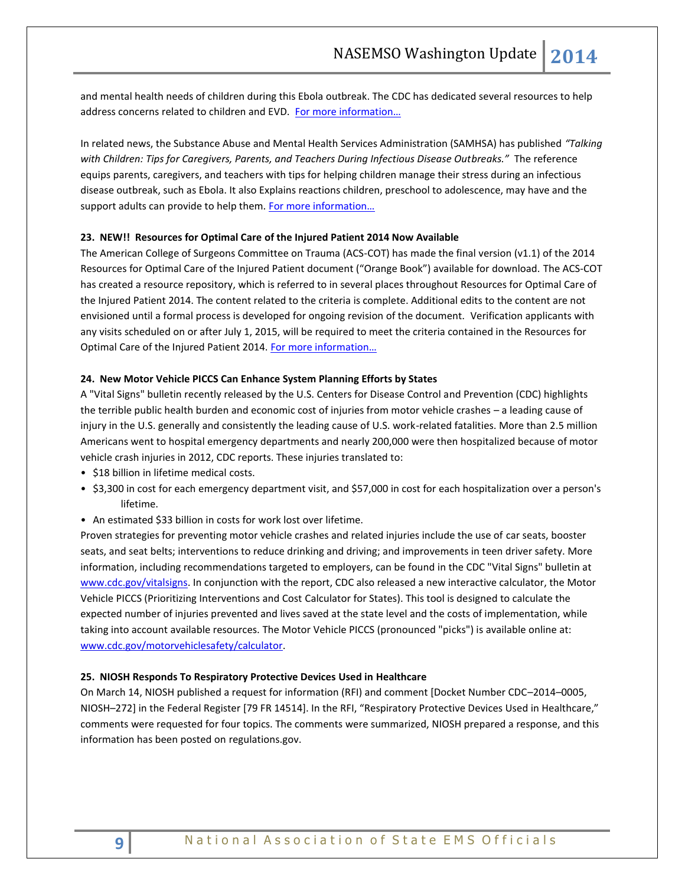and mental health needs of children during this Ebola outbreak. The CDC has dedicated several resources to help address concerns related to children and EVD. [For more information…](http://www.cdc.gov/vhf/ebola/children/index.html)

In related news, the Substance Abuse and Mental Health Services Administration (SAMHSA) has published *"Talking with Children: Tips for Caregivers, Parents, and Teachers During Infectious Disease Outbreaks."* The reference equips parents, caregivers, and teachers with tips for helping children manage their stress during an infectious disease outbreak, such as Ebola. It also Explains reactions children, preschool to adolescence, may have and the support adults can provide to help them. For more information...

# **23. NEW!! Resources for Optimal Care of the Injured Patient 2014 Now Available**

The American College of Surgeons Committee on Trauma (ACS-COT) has made the final version (v1.1) of the 2014 Resources for Optimal Care of the Injured Patient document ("Orange Book") available for download. The ACS-COT has created a resource repository, which is referred to in several places throughout Resources for Optimal Care of the Injured Patient 2014. The content related to the criteria is complete. Additional edits to the content are not envisioned until a formal process is developed for ongoing revision of the document. Verification applicants with any visits scheduled on or after July 1, 2015, will be required to meet the criteria contained in the Resources for Optimal Care of the Injured Patient 2014. [For more information…](https://www.facs.org/quality-programs/trauma/vrc/resources)

#### **24. New Motor Vehicle PICCS Can Enhance System Planning Efforts by States**

A "Vital Signs" bulletin recently released by the U.S. Centers for Disease Control and Prevention (CDC) highlights the terrible public health burden and economic cost of injuries from motor vehicle crashes – a leading cause of injury in the U.S. generally and consistently the leading cause of U.S. work-related fatalities. More than 2.5 million Americans went to hospital emergency departments and nearly 200,000 were then hospitalized because of motor vehicle crash injuries in 2012, CDC reports. These injuries translated to:

- \$18 billion in lifetime medical costs.
- \$3,300 in cost for each emergency department visit, and \$57,000 in cost for each hospitalization over a person's lifetime.
- An estimated \$33 billion in costs for work lost over lifetime.

Proven strategies for preventing motor vehicle crashes and related injuries include the use of car seats, booster seats, and seat belts; interventions to reduce drinking and driving; and improvements in teen driver safety. More information, including recommendations targeted to employers, can be found in the CDC "Vital Signs" bulletin at [www.cdc.gov/vitalsigns.](http://links.govdelivery.com/track?type=click&enid=ZWFzPTEmbWFpbGluZ2lkPTIwMTQxMDA3LjM2NzkyNzExJm1lc3NhZ2VpZD1NREItUFJELUJVTC0yMDE0MTAwNy4zNjc5MjcxMSZkYXRhYmFzZWlkPTEwMDEmc2VyaWFsPTE2OTExNjc1JmVtYWlsaWQ9a3JvYmluc29uQGFzbWlpLm5ldCZ1c2VyaWQ9a3JvYmluc29uQGFzbWlpLm5ldCZmbD0mZXh0cmE9TXVsdGl2YXJpYXRlSWQ9JiYm&&&103&&&http://www.cdc.gov/vitalsigns) In conjunction with the report, CDC also released a new interactive calculator, the Motor Vehicle PICCS (Prioritizing Interventions and Cost Calculator for States). This tool is designed to calculate the expected number of injuries prevented and lives saved at the state level and the costs of implementation, while taking into account available resources. The Motor Vehicle PICCS (pronounced "picks") is available online at: [www.cdc.gov/motorvehiclesafety/calculator.](http://links.govdelivery.com/track?type=click&enid=ZWFzPTEmbWFpbGluZ2lkPTIwMTQxMDA3LjM2NzkyNzExJm1lc3NhZ2VpZD1NREItUFJELUJVTC0yMDE0MTAwNy4zNjc5MjcxMSZkYXRhYmFzZWlkPTEwMDEmc2VyaWFsPTE2OTExNjc1JmVtYWlsaWQ9a3JvYmluc29uQGFzbWlpLm5ldCZ1c2VyaWQ9a3JvYmluc29uQGFzbWlpLm5ldCZmbD0mZXh0cmE9TXVsdGl2YXJpYXRlSWQ9JiYm&&&104&&&http://www.cdc.gov/motorvehiclesafety/calculator)

#### **25. NIOSH Responds To Respiratory Protective Devices Used in Healthcare**

On March 14, NIOSH published a request for information (RFI) and comment [Docket Number CDC–2014–0005, NIOSH–272] in the Federal Register [79 FR 14514]. In the RFI, "Respiratory Protective Devices Used in Healthcare," comments were requested for four topics. The comments were summarized, NIOSH prepared a response, and this information has been posted o[n regulations.gov.](http://links.govdelivery.com/track?type=click&enid=ZWFzPTEmbWFpbGluZ2lkPTIwMTQxMDAxLjM2NTcwNDIxJm1lc3NhZ2VpZD1NREItUFJELUJVTC0yMDE0MTAwMS4zNjU3MDQyMSZkYXRhYmFzZWlkPTEwMDEmc2VyaWFsPTE2OTA4MzQ3JmVtYWlsaWQ9a3JvYmluc29uQGFzbWlpLm5ldCZ1c2VyaWQ9a3JvYmluc29uQGFzbWlpLm5ldCZmbD0mZXh0cmE9TXVsdGl2YXJpYXRlSWQ9JiYm&&&112&&&http://www.regulations.gov/#!searchResults;rpp=25;po=0;s=cdc-2014-0005;dct=FR%252BPR%252BN%252BO%252BSR)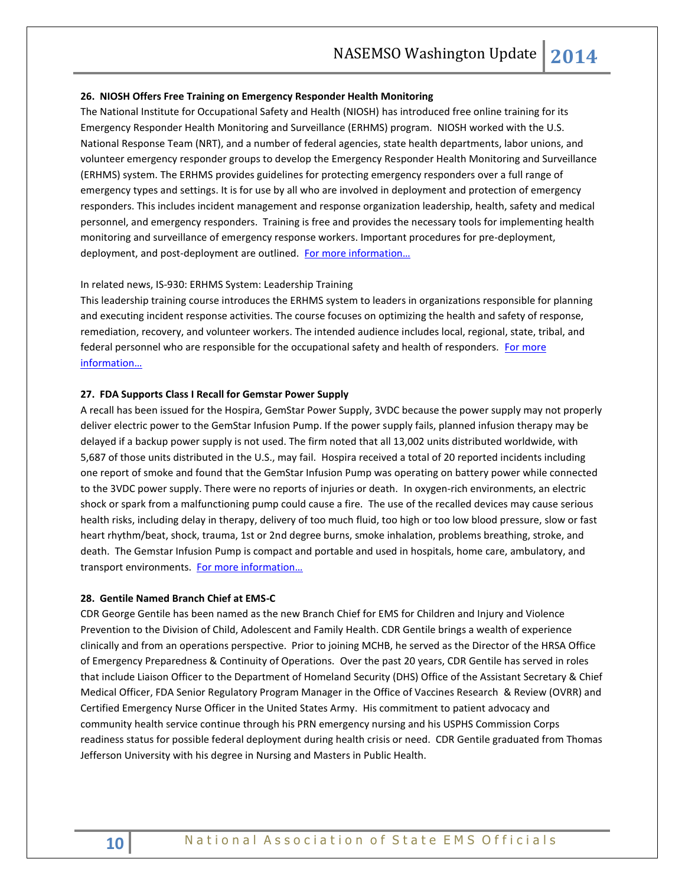#### **26. NIOSH Offers Free Training on Emergency Responder Health Monitoring**

The National Institute for Occupational Safety and Health (NIOSH) has introduced free online training for its Emergency Responder Health Monitoring and Surveillance (ERHMS) program. NIOSH worked with the U.S. National Response Team (NRT), and a number of federal agencies, state health departments, labor unions, and volunteer emergency responder groups to develop the Emergency Responder Health Monitoring and Surveillance (ERHMS) system. The ERHMS provides guidelines for protecting emergency responders over a full range of emergency types and settings. It is for use by all who are involved in deployment and protection of emergency responders. This includes incident management and response organization leadership, health, safety and medical personnel, and emergency responders. Training is free and provides the necessary tools for implementing health monitoring and surveillance of emergency response workers. Important procedures for pre-deployment, deployment, and post-deployment are outlined. [For more information…](http://www.cdc.gov/niosh/topics/erhms/)

# In related news, IS-930: ERHMS System: Leadership Training

This leadership training course introduces the ERHMS system to leaders in organizations responsible for planning and executing incident response activities. The course focuses on optimizing the health and safety of response, remediation, recovery, and volunteer workers. The intended audience includes local, regional, state, tribal, and federal personnel who are responsible for the occupational safety and health of responders. For [more](http://training.fema.gov/EMIWeb/IS/courseOverview.aspx?code=IS-930)  [information…](http://training.fema.gov/EMIWeb/IS/courseOverview.aspx?code=IS-930)

#### **27. FDA Supports Class I Recall for Gemstar Power Supply**

A recall has been issued for the Hospira, GemStar Power Supply, 3VDC because the power supply may not properly deliver electric power to the GemStar Infusion Pump. If the power supply fails, planned infusion therapy may be delayed if a backup power supply is not used. The firm noted that all 13,002 units distributed worldwide, with 5,687 of those units distributed in the U.S., may fail. Hospira received a total of 20 reported incidents including one report of smoke and found that the GemStar Infusion Pump was operating on battery power while connected to the 3VDC power supply. There were no reports of injuries or death. In oxygen-rich environments, an electric shock or spark from a malfunctioning pump could cause a fire. The use of the recalled devices may cause serious health risks, including delay in therapy, delivery of too much fluid, too high or too low blood pressure, slow or fast heart rhythm/beat, shock, trauma, 1st or 2nd degree burns, smoke inhalation, problems breathing, stroke, and death. The Gemstar Infusion Pump is compact and portable and used in hospitals, home care, ambulatory, and transport environments. [For more information…](http://www.fda.gov/MedicalDevices/Safety/ListofRecalls/ucm421946.htm)

#### **28. Gentile Named Branch Chief at EMS-C**

CDR George Gentile has been named as the new Branch Chief for EMS for Children and Injury and Violence Prevention to the Division of Child, Adolescent and Family Health. CDR Gentile brings a wealth of experience clinically and from an operations perspective. Prior to joining MCHB, he served as the Director of the HRSA Office of Emergency Preparedness & Continuity of Operations. Over the past 20 years, CDR Gentile has served in roles that include Liaison Officer to the Department of Homeland Security (DHS) Office of the Assistant Secretary & Chief Medical Officer, FDA Senior Regulatory Program Manager in the Office of Vaccines Research & Review (OVRR) and Certified Emergency Nurse Officer in the United States Army. His commitment to patient advocacy and community health service continue through his PRN emergency nursing and his USPHS Commission Corps readiness status for possible federal deployment during health crisis or need. CDR Gentile graduated from Thomas Jefferson University with his degree in Nursing and Masters in Public Health.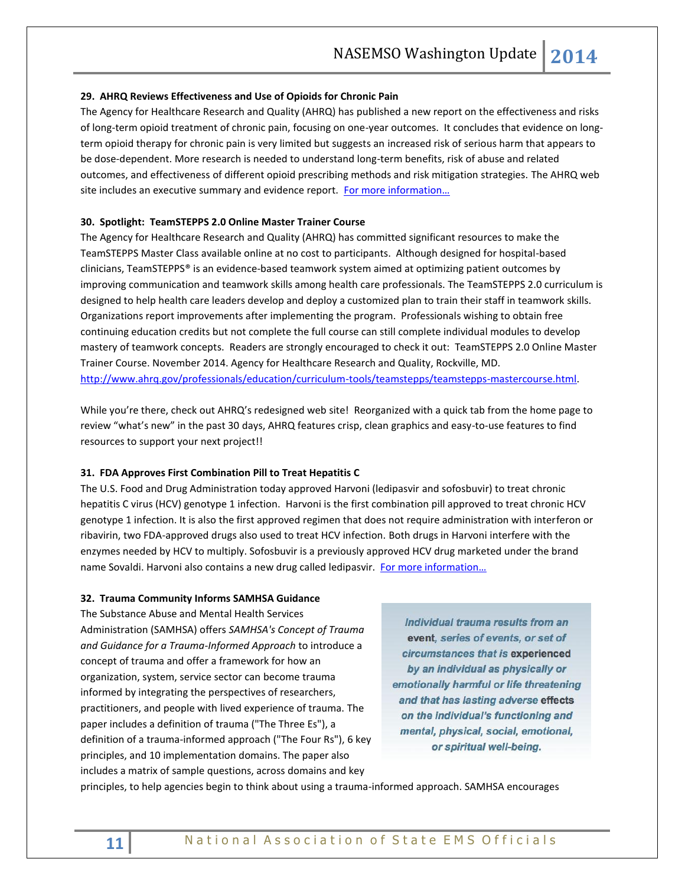## **29. AHRQ Reviews Effectiveness and Use of Opioids for Chronic Pain**

The Agency for Healthcare Research and Quality (AHRQ) has published a new report on the effectiveness and risks of long-term opioid treatment of chronic pain, focusing on one-year outcomes. It concludes that evidence on longterm opioid therapy for chronic pain is very limited but suggests an increased risk of serious harm that appears to be dose-dependent. More research is needed to understand long-term benefits, risk of abuse and related outcomes, and effectiveness of different opioid prescribing methods and risk mitigation strategies. The AHRQ web site includes an executive summary and evidence report. For more information...

# **30. Spotlight: TeamSTEPPS 2.0 Online Master Trainer Course**

The Agency for Healthcare Research and Quality (AHRQ) has committed significant resources to make the TeamSTEPPS Master Class available online at no cost to participants. Although designed for hospital-based clinicians, TeamSTEPPS® is an evidence-based teamwork system aimed at optimizing patient outcomes by improving communication and teamwork skills among health care professionals. The TeamSTEPPS 2.0 curriculum is designed to help health care leaders develop and deploy a customized plan to train their staff in teamwork skills. Organizations report improvements after implementing the program. Professionals wishing to obtain free continuing education credits but not complete the full course can still complete individual modules to develop mastery of teamwork concepts. Readers are strongly encouraged to check it out: TeamSTEPPS 2.0 Online Master Trainer Course. November 2014. Agency for Healthcare Research and Quality, Rockville, MD. [http://www.ahrq.gov/professionals/education/curriculum-tools/teamstepps/teamstepps-mastercourse.html.](http://www.ahrq.gov/professionals/education/curriculum-tools/teamstepps/teamstepps-mastercourse.html)

While you're there, check out AHRQ's redesigned web site! Reorganized with a quick tab from the home page to review "what's new" in the past 30 days, AHRQ features crisp, clean graphics and easy-to-use features to find resources to support your next project!!

## **31. FDA Approves First Combination Pill to Treat Hepatitis C**

The U.S. Food and Drug Administration today approved Harvoni (ledipasvir and sofosbuvir) to treat chronic hepatitis C virus (HCV) genotype 1 infection. Harvoni is the first combination pill approved to treat chronic HCV genotype 1 infection. It is also the first approved regimen that does not require administration with interferon or ribavirin, two FDA-approved drugs also used to treat HCV infection. Both drugs in Harvoni interfere with the enzymes needed by HCV to multiply. Sofosbuvir is a previously approved HCV drug marketed under the brand name Sovaldi. Harvoni also contains a new drug called ledipasvir. [For more information…](http://www.fda.gov/NewsEvents/Newsroom/PressAnnouncements/ucm418365.htm)

#### **32. Trauma Community Informs SAMHSA Guidance**

The Substance Abuse and Mental Health Services Administration (SAMHSA) offers *SAMHSA's Concept of Trauma and Guidance for a Trauma-Informed Approach* to introduce a concept of trauma and offer a framework for how an organization, system, service sector can become trauma informed by integrating the perspectives of researchers, practitioners, and people with lived experience of trauma. The paper includes a definition of trauma ("The Three Es"), a definition of a trauma-informed approach ("The Four Rs"), 6 key principles, and 10 implementation domains. The paper also includes a matrix of sample questions, across domains and key

Individual trauma results from an event, series of events, or set of circumstances that is experienced by an individual as physically or emotionally harmful or life threatening and that has lasting adverse effects on the individual's functioning and mental, physical, social, emotional, or spiritual well-being.

principles, to help agencies begin to think about using a trauma-informed approach. SAMHSA encourages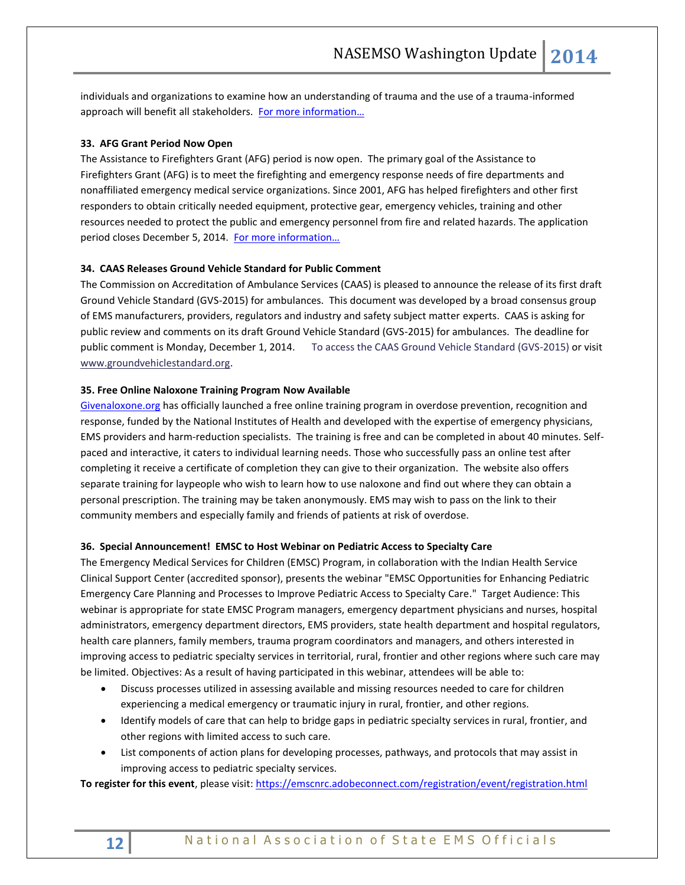individuals and organizations to examine how an understanding of trauma and the use of a trauma-informed approach will benefit all stakeholders. [For more information…](http://store.samhsa.gov/product/SMA14-4884?WT.mc_id=EB_20141008_SMA14-4884)

# **33. AFG Grant Period Now Open**

The Assistance to Firefighters Grant (AFG) period is now open. The primary goal of the Assistance to Firefighters Grant (AFG) is to meet the firefighting and emergency response needs of fire departments and nonaffiliated emergency medical service organizations. Since 2001, AFG has helped firefighters and other first responders to obtain critically needed equipment, protective gear, emergency vehicles, training and other resources needed to protect the public and emergency personnel from fire and related hazards. The application period closes December 5, 2014. For more information...

#### **34. CAAS Releases Ground Vehicle Standard for Public Comment**

The Commission on Accreditation of Ambulance Services (CAAS) is pleased to announce the release of its first draft Ground Vehicle Standard (GVS-2015) for ambulances. This document was developed by a broad consensus group of EMS manufacturers, providers, regulators and industry and safety subject matter experts. CAAS is asking for public review and comments on its draft Ground Vehicle Standard (GVS-2015) for ambulances. The deadline for public comment is Monday, December 1, 2014. [To access the CAAS Ground Vehicle Standard \(GVS-2015\)](http://www.mmsend2.com/link.cfm?r=229983707&sid=53518683&m=7002947&u=CAAS&j=22140027&s=http://www.groundvehiclestandard.org/?page_id=53) or visit [www.groundvehiclestandard.org.](http://www.mmsend2.com/link.cfm?r=229983707&sid=53518684&m=7002947&u=CAAS&j=22140027&s=http://www.groundvehiclestandard.org)

## **35. Free Online Naloxone Training Program Now Available**

[Givenaloxone.org](http://www.givenaloxone.org/) has officially launched a free online training program in overdose prevention, recognition and response, funded by the National Institutes of Health and developed with the expertise of emergency physicians, EMS providers and harm-reduction specialists. The training is free and can be completed in about 40 minutes. Selfpaced and interactive, it caters to individual learning needs. Those who successfully pass an online test after completing it receive a certificate of completion they can give to their organization. The website also offers separate training for laypeople who wish to learn how to use naloxone and find out where they can obtain a personal prescription. The training may be taken anonymously. EMS may wish to pass on the link to their community members and especially family and friends of patients at risk of overdose.

#### **36. Special Announcement! EMSC to Host Webinar on Pediatric Access to Specialty Care**

The Emergency Medical Services for Children (EMSC) Program, in collaboration with the Indian Health Service Clinical Support Center (accredited sponsor), presents the webinar "EMSC Opportunities for Enhancing Pediatric Emergency Care Planning and Processes to Improve Pediatric Access to Specialty Care." Target Audience: This webinar is appropriate for state EMSC Program managers, emergency department physicians and nurses, hospital administrators, emergency department directors, EMS providers, state health department and hospital regulators, health care planners, family members, trauma program coordinators and managers, and others interested in improving access to pediatric specialty services in territorial, rural, frontier and other regions where such care may be limited. Objectives: As a result of having participated in this webinar, attendees will be able to:

- Discuss processes utilized in assessing available and missing resources needed to care for children experiencing a medical emergency or traumatic injury in rural, frontier, and other regions.
- Identify models of care that can help to bridge gaps in pediatric specialty services in rural, frontier, and other regions with limited access to such care.
- List components of action plans for developing processes, pathways, and protocols that may assist in improving access to pediatric specialty services.

**To register for this event**, please visit[: https://emscnrc.adobeconnect.com/registration/event/registration.html](http://r20.rs6.net/tn.jsp?f=001wWWLXLMkWeUeX523dbGFG7yq5TzdIKmwCe86zjicLyVmqUHUXEz9gJncOt4sbUQX9GTFwYafOtGFKhW2Y0Vz9c0N5Z02QW5RkFOOin8B5tGFVffbREnKR-5JU5ZieEsg63RAIYCeBS68K3zuLBGwsM63kzuSfD-7wmu9TCXcifiHgnSuiSofaWzVwug4Tm6WkvUFdb-EAmiuTa7KQVvzYWBPdr8i35E9cCOuNmSWZDQ=&c=rsEU8TzVLTylt0bXjiSmmib1VaPn0cOCIjEb4lchWjlqh720_bzrCw==&ch=qdGGsgzuqnR659DRY4biwz4_iMjvrKg-kSx-JfZulHhg0EWrOpk2oQ==)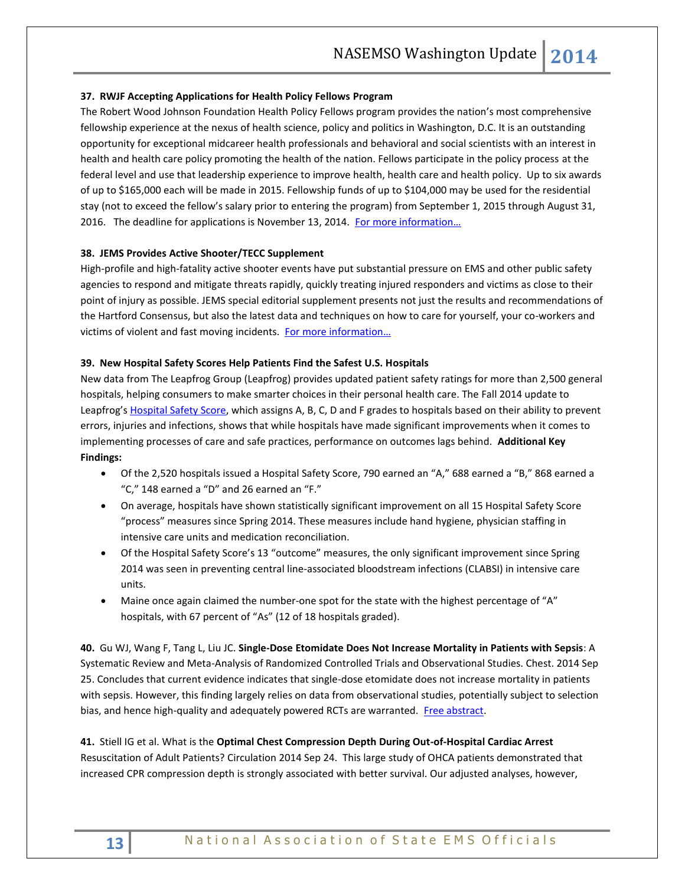# **37. RWJF Accepting Applications for Health Policy Fellows Program**

The Robert Wood Johnson Foundation Health Policy Fellows program provides the nation's most comprehensive fellowship experience at the nexus of health science, policy and politics in Washington, D.C. It is an outstanding opportunity for exceptional midcareer health professionals and behavioral and social scientists with an interest in health and health care policy promoting the health of the nation. Fellows participate in the policy process at the federal level and use that leadership experience to improve health, health care and health policy. Up to six awards of up to \$165,000 each will be made in 2015. Fellowship funds of up to \$104,000 may be used for the residential stay (not to exceed the fellow's salary prior to entering the program) from September 1, 2015 through August 31, 2016. The deadline for applications is November 13, 2014. For more information...

# **38. JEMS Provides Active Shooter/TECC Supplement**

High-profile and high-fatality active shooter events have put substantial pressure on EMS and other public safety agencies to respond and mitigate threats rapidly, quickly treating injured responders and victims as close to their point of injury as possible. JEMS special editorial supplement presents not just the results and recommendations of the Hartford Consensus, but also the latest data and techniques on how to care for yourself, your co-workers and victims of violent and fast moving incidents. For more information...

## **39. New Hospital Safety Scores Help Patients Find the Safest U.S. Hospitals**

New data from The Leapfrog Group (Leapfrog) provides updated patient safety ratings for more than 2,500 general hospitals, helping consumers to make smarter choices in their personal health care. The Fall 2014 update to Leapfrog's [Hospital Safety Score,](http://www.hospitalsafetyscore.org/) which assigns A, B, C, D and F grades to hospitals based on their ability to prevent errors, injuries and infections, shows that while hospitals have made significant improvements when it comes to implementing processes of care and safe practices, performance on outcomes lags behind. **Additional Key Findings:**

- Of the 2,520 hospitals issued a Hospital Safety Score, 790 earned an "A," 688 earned a "B," 868 earned a "C," 148 earned a "D" and 26 earned an "F."
- On average, hospitals have shown statistically significant improvement on all 15 Hospital Safety Score "process" measures since Spring 2014. These measures include hand hygiene, physician staffing in intensive care units and medication reconciliation.
- Of the Hospital Safety Score's 13 "outcome" measures, the only significant improvement since Spring 2014 was seen in preventing central line-associated bloodstream infections (CLABSI) in intensive care units.
- Maine once again claimed the number-one spot for the state with the highest percentage of "A" hospitals, with 67 percent of "As" (12 of 18 hospitals graded).

**40.** Gu WJ, Wang F, Tang L, Liu JC. **Single-Dose Etomidate Does Not Increase Mortality in Patients with Sepsis**: A Systematic Review and Meta-Analysis of Randomized Controlled Trials and Observational Studies. Chest. 2014 Sep 25. Concludes that current evidence indicates that single-dose etomidate does not increase mortality in patients with sepsis. However, this finding largely relies on data from observational studies, potentially subject to selection bias, and hence high-quality and adequately powered RCTs are warranted. [Free abstract.](http://journal.publications.chestnet.org/article.aspx?articleid=1910194&resultClick=3)

**41.** Stiell IG et al. What is the **Optimal Chest Compression Depth During Out-of-Hospital Cardiac Arrest** Resuscitation of Adult Patients? Circulation 2014 Sep 24. This large study of OHCA patients demonstrated that increased CPR compression depth is strongly associated with better survival. Our adjusted analyses, however,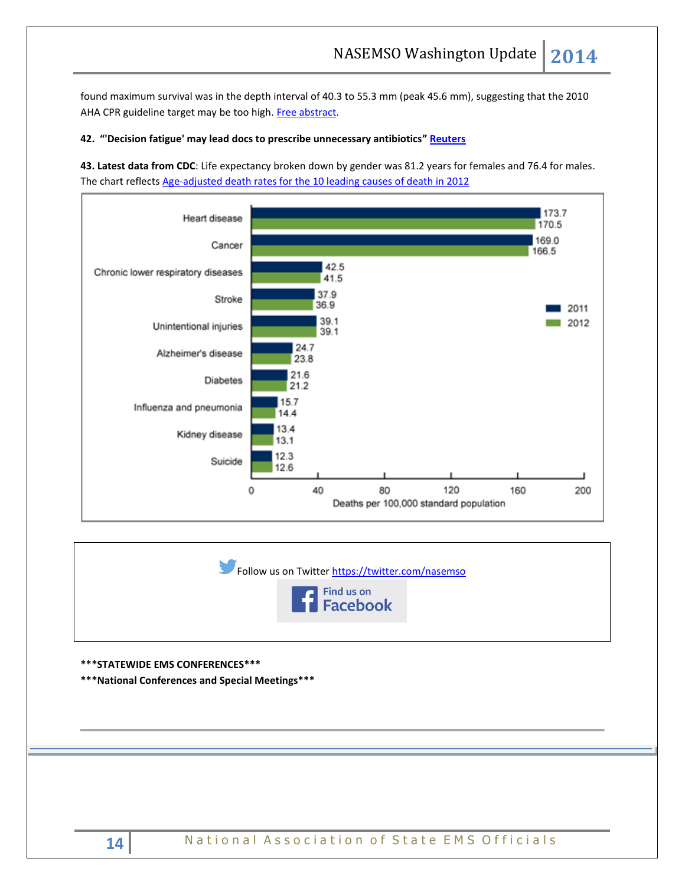found maximum survival was in the depth interval of 40.3 to 55.3 mm (peak 45.6 mm), suggesting that the 2010 AHA CPR guideline target may be too high. [Free abstract.](http://circ.ahajournals.org/content/early/2014/09/24/CIRCULATIONAHA.114.008671.abstract)

# **42. "'Decision fatigue' may lead docs to prescribe unnecessary antibiotics" [Reuters](http://uk.reuters.com/article/2014/10/07/us-health-psychology-antibiotics-idUKKCN0HW1IG20141007)**

**43. Latest data from CDC**: Life expectancy broken down by gender was 81.2 years for females and 76.4 for males. The chart reflects [Age-adjusted death rates for the 10 leading causes of death in 2012](http://www.cdc.gov/nchs/data/databriefs/db168.htm)







**\*\*\*STATEWIDE EMS CONFERENCES\*\*\***

**\*\*\*National Conferences and Special Meetings\*\*\***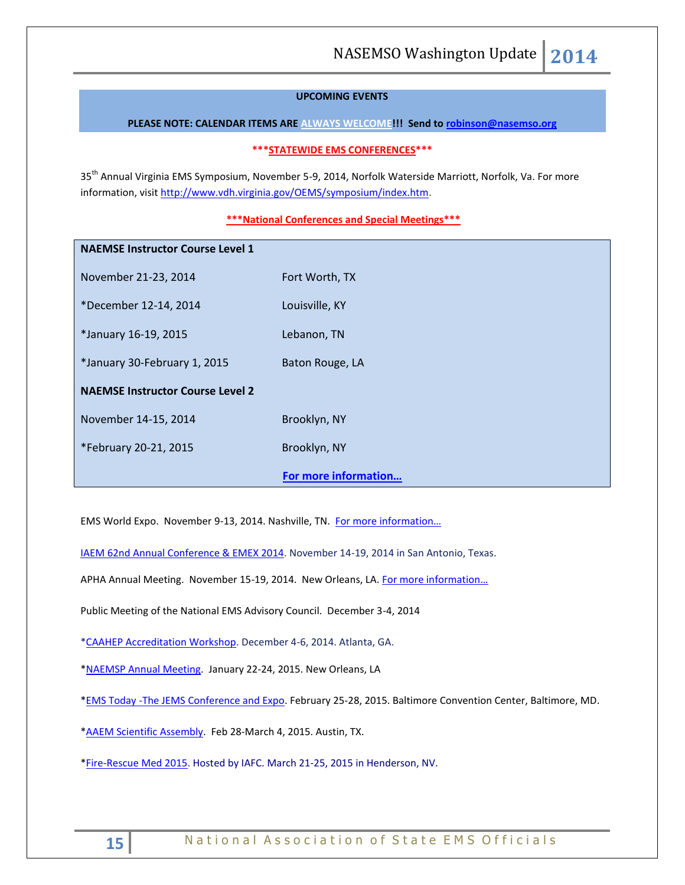# **UPCOMING EVENTS**

**PLEASE NOTE: CALENDAR ITEMS ARE ALWAYS WELCOME!!! Send t[o robinson@nasemso.org](mailto:robinson@nasemso.org)**

#### **\*\*\*STATEWIDE EMS CONFERENCES\*\*\***

35<sup>th</sup> Annual Virginia EMS Symposium, November 5-9, 2014, Norfolk Waterside Marriott, Norfolk, Va. For more information, visit [http://www.vdh.virginia.gov/OEMS/symposium/index.htm.](http://www.vdh.virginia.gov/OEMS/symposium/index.htm)

# **\*\*\*National Conferences and Special Meetings\*\*\***

| <b>NAEMSE Instructor Course Level 1</b> |                      |
|-----------------------------------------|----------------------|
| November 21-23, 2014                    | Fort Worth, TX       |
| *December 12-14, 2014                   | Louisville, KY       |
| *January 16-19, 2015                    | Lebanon, TN          |
| *January 30-February 1, 2015            | Baton Rouge, LA      |
| <b>NAEMSE Instructor Course Level 2</b> |                      |
| November 14-15, 2014                    | Brooklyn, NY         |
| *February 20-21, 2015                   | Brooklyn, NY         |
|                                         | For more information |

EMS World Expo. November 9-13, 2014. Nashville, TN. For more information...

[IAEM 62nd Annual Conference & EMEX 2014.](http://r20.rs6.net/tn.jsp?f=0017a16rEY-faAxKJOwcxlWN0Jpa__xXnyjMO4Pf_T7mIwFs3lUIQXD7ZGWHyXQVyvNTnwLThlXfS1UPKQRzF6qWPZ7VHEHLqgSDtV-qSJdKZG24eCnEWw9xpLPyJ0EY7SJl9-NsTtkMl0762iVcLqRH2ZTCfwAsnrdANYguu58E3lE3pgrzD-3l1J9cDg5Xw1DRhBnLuuT01QHd13Ru9uCItLOBJyXA6Vh&c=II48-dM8ZHlh_LnaSX47VE6-1dgVbuOCMhyJx5Oi3Cl7QiDNfwC0vg==&ch=r2qhFC4qt5dHUhtMfeDD8_KDaTnahtsAYkNTsQ0wL_ozbainQdNpJQ==) November 14-19, 2014 in San Antonio, Texas.

APHA Annual Meeting. November 15-19, 2014. New Orleans, LA. For more information...

Public Meeting of the National EMS Advisory Council. December 3-4, 2014

[\\*CAAHEP Accreditation Workshop.](http://coaemsp.org/Meetings.htm#3) December 4-6, 2014. Atlanta, GA.

[\\*NAEMSP Annual Meeting.](http://www.naemsp.org/Pages/Annual-Meeting.aspx) January 22-24, 2015. New Orleans, LA

\*EMS Today [-The JEMS Conference and Expo.](http://www.emstoday.com/) February 25-28, 2015. Baltimore Convention Center, Baltimore, MD.

[\\*AAEM Scientific Assembly.](http://www.aaem.org/education/scientific-assembly) Feb 28-March 4, 2015. Austin, TX.

[\\*Fire-Rescue Med 2015.](http://r20.rs6.net/tn.jsp?f=001wzKW8mjjcnbesjq6-qmpJD19e-gq3Y5FOwmLWLTgNIHh6hCIiHqstIkhCoTW5Uyg5JHBLmj2zNppZBHeNTGNTdI5SrotG71jPj3RaQkWp9X6p0vhHDIEZVzNUas8In4_qQGVO71TIkVNvy5kr3wuB85fej8-1BwMpA4FqxZYhS0=&c=K-4O5t1NK0pvyYYLP6KIFRGJQfUv3C2HcUe9uWpDHDHXSHf7SX---w==&ch=Yx938ZHswsHC8i2jMpUmQmj_h7fbCpC2dtXJjMCXJYGpD2EZ9Y-O6g==) Hosted by IAFC. March 21-25, 2015 in Henderson, NV.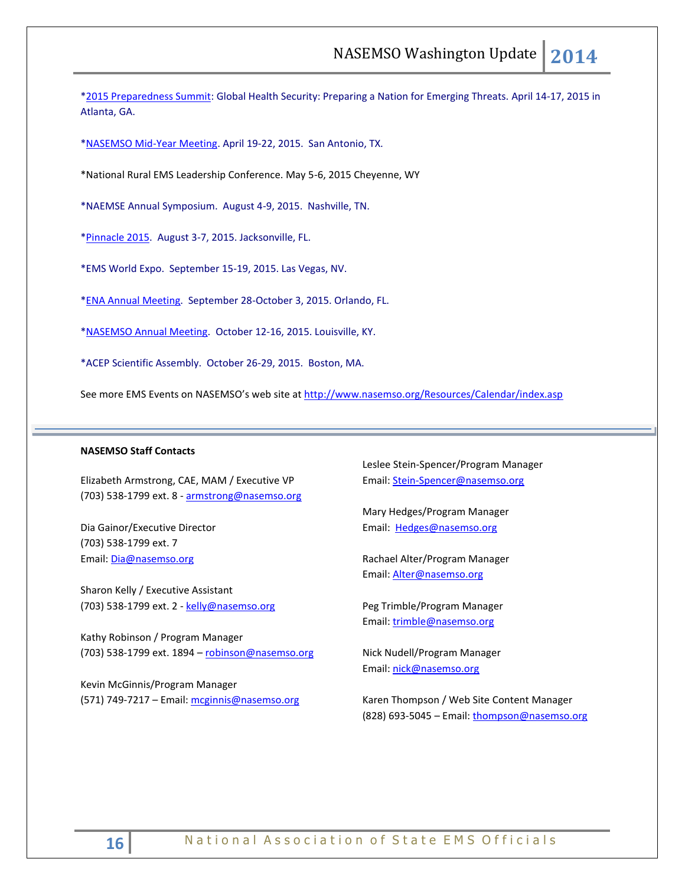[\\*2015 Preparedness Summit:](http://r20.rs6.net/tn.jsp?f=001wzKW8mjjcnbesjq6-qmpJD19e-gq3Y5FOwmLWLTgNIHh6hCIiHqstFFMbeOwVwTNMuZX6CwfLJh1ec6r8FGt5MkZtgydlbkKvPVeaYNjBpYWW2JzpyHfusQltfbi8UCgcLGFDwwq0YW95dfGYVfynmKNiyRfz-lS_xckL2nnntfDjkKRdOYxfA==&c=K-4O5t1NK0pvyYYLP6KIFRGJQfUv3C2HcUe9uWpDHDHXSHf7SX---w==&ch=Yx938ZHswsHC8i2jMpUmQmj_h7fbCpC2dtXJjMCXJYGpD2EZ9Y-O6g==) Global Health Security: Preparing a Nation for Emerging Threats. April 14-17, 2015 in Atlanta, GA.

[\\*NASEMSO Mid-Year Meeting.](http://www.nasemso.org/Meetings/MidYear/index.asp) April 19-22, 2015. San Antonio, TX.

\*National Rural EMS Leadership Conference. May 5-6, 2015 Cheyenne, WY

\*NAEMSE Annual Symposium. August 4-9, 2015. Nashville, TN.

[\\*Pinnacle 2015.](http://pinnacle-ems.com/program/) August 3-7, 2015. Jacksonville, FL.

\*EMS World Expo. September 15-19, 2015. Las Vegas, NV.

[\\*ENA Annual Meeting.](http://www.ena.org/education/conferences/2015/Pages/default.aspx) September 28-October 3, 2015. Orlando, FL.

[\\*NASEMSO Annual Meeting.](http://www.nasemso.org/Meetings/Annual/AnnualMeeting2015.asp) October 12-16, 2015. Louisville, KY.

\*ACEP Scientific Assembly. October 26-29, 2015. Boston, MA.

See more EMS Events on NASEMSO's web site at <http://www.nasemso.org/Resources/Calendar/index.asp>

#### **NASEMSO Staff Contacts**

Elizabeth Armstrong, CAE, MAM / Executive VP (703) 538-1799 ext. 8 - [armstrong@nasemso.org](mailto:armstrong@nasemso.org)

Dia Gainor/Executive Director (703) 538-1799 ext. 7 Email: [Dia@nasemso.org](mailto:Dia@nasemso.org)

Sharon Kelly / Executive Assistant (703) 538-1799 ext. 2 - [kelly@nasemso.org](mailto:kelly@nasemso.org)

Kathy Robinson / Program Manager (703) 538-1799 ext. 1894 – [robinson@nasemso.org](mailto:robinson@nasemso.org)

Kevin McGinnis/Program Manager (571) 749-7217 - Email: [mcginnis@nasemso.org](mailto:mcginnis@nasemso.org) Leslee Stein-Spencer/Program Manager Email: [Stein-Spencer@nasemso.org](mailto:Stein-Spencer@nasemso.org)

Mary Hedges/Program Manager Email: [Hedges@nasemso.org](mailto:Hedges@nasemso.org)

Rachael Alter/Program Manager Email: [Alter@nasemso.org](mailto:Alter@nasemso.org) 

Peg Trimble/Program Manager Email: [trimble@nasemso.org](mailto:trimble@nasemso.org)

Nick Nudell/Program Manager Email: [nick@nasemso.org](mailto:nick@nasemso.org)

Karen Thompson / Web Site Content Manager (828) 693-5045 - Email: [thompson@nasemso.org](mailto:thompson@nasemso.org)